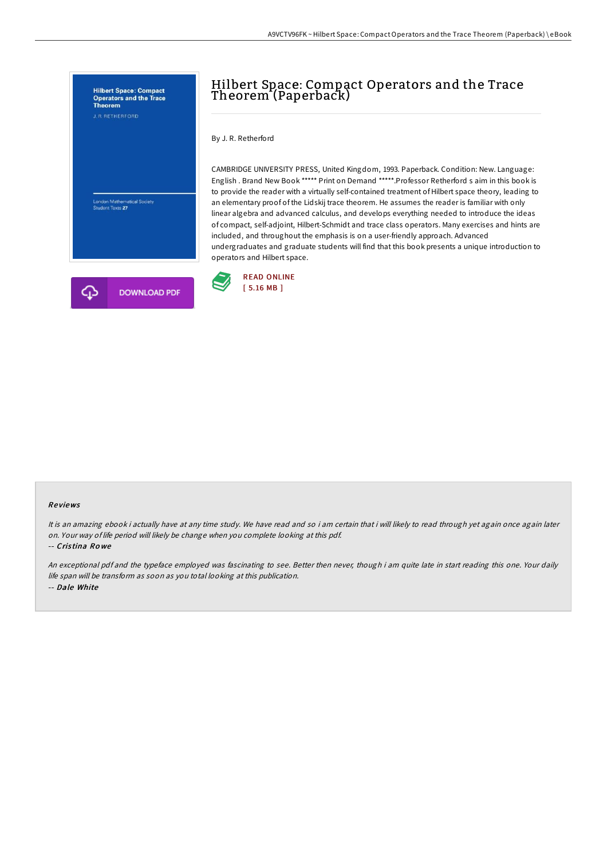

# Hilbert Space: Compact Operators and the Trace Theorem (Paperback)

By J. R. Retherford

CAMBRIDGE UNIVERSITY PRESS, United Kingdom, 1993. Paperback. Condition: New. Language: English . Brand New Book \*\*\*\*\* Print on Demand \*\*\*\*\*.Professor Retherford s aim in this book is to provide the reader with a virtually self-contained treatment of Hilbert space theory, leading to an elementary proof of the Lidskij trace theorem. He assumes the reader is familiar with only linear algebra and advanced calculus, and develops everything needed to introduce the ideas of compact, self-adjoint, Hilbert-Schmidt and trace class operators. Many exercises and hints are included, and throughout the emphasis is on a user-friendly approach. Advanced undergraduates and graduate students will find that this book presents a unique introduction to operators and Hilbert space.



#### Re views

It is an amazing ebook i actually have at any time study. We have read and so i am certain that i will likely to read through yet again once again later on. Your way of life period will likely be change when you complete looking at this pdf.

-- Cris tina Ro we

An exceptional pdf and the typeface employed was fascinating to see. Better then never, though i am quite late in start reading this one. Your daily life span will be transform as soon as you total looking at this publication. -- Dale White